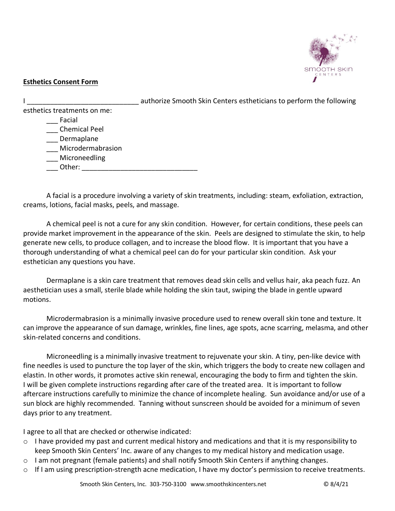

## **Esthetics Consent Form**

|                             | authorize Smooth Skin Centers estheticians to perform the following |
|-----------------------------|---------------------------------------------------------------------|
| esthetics treatments on me: |                                                                     |
| Facial                      |                                                                     |
| <b>Chemical Peel</b>        |                                                                     |
| Dermaplane                  |                                                                     |
| Microdermabrasion           |                                                                     |
| Microneedling               |                                                                     |
| Other:                      |                                                                     |
|                             |                                                                     |

A facial is a procedure involving a variety of skin treatments, including: steam, exfoliation, extraction, creams, lotions, facial masks, peels, and massage.

A chemical peel is not a cure for any skin condition. However, for certain conditions, these peels can provide market improvement in the appearance of the skin. Peels are designed to stimulate the skin, to help generate new cells, to produce collagen, and to increase the blood flow. It is important that you have a thorough understanding of what a chemical peel can do for your particular skin condition. Ask your esthetician any questions you have.

Dermaplane is a skin care treatment that removes dead skin cells and vellus hair, aka peach fuzz. An aesthetician uses a small, sterile blade while holding the skin taut, swiping the blade in gentle upward motions.

Microdermabrasion is a minimally invasive procedure used to renew overall skin tone and texture. It can improve the appearance of sun damage, wrinkles, fine lines, age spots, acne scarring, melasma, and other skin-related concerns and conditions.

Microneedling is a minimally invasive treatment to rejuvenate your skin. A tiny, pen-like device with fine needles is used to puncture the top layer of the skin, which triggers the body to create new collagen and elastin. In other words, it promotes active skin renewal, encouraging the body to firm and tighten the skin. I will be given complete instructions regarding after care of the treated area. It is important to follow aftercare instructions carefully to minimize the chance of incomplete healing. Sun avoidance and/or use of a sun block are highly recommended. Tanning without sunscreen should be avoided for a minimum of seven days prior to any treatment.

I agree to all that are checked or otherwise indicated:

- $\circ$  I have provided my past and current medical history and medications and that it is my responsibility to keep Smooth Skin Centers' Inc. aware of any changes to my medical history and medication usage.
- o I am not pregnant (female patients) and shall notify Smooth Skin Centers if anything changes.
- $\circ$  If I am using prescription-strength acne medication, I have my doctor's permission to receive treatments.